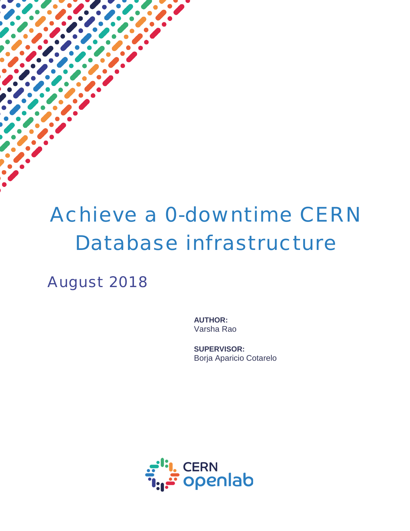# Achieve a 0-downtime CERN Database infrastructure

August 2018

**AUTHOR:** Varsha Rao

**SUPERVISOR:** Borja Aparicio Cotarelo

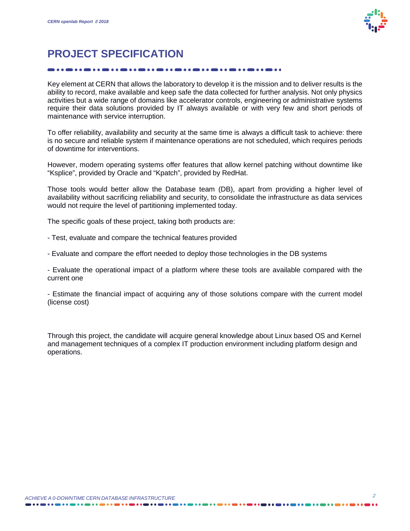

# **PROJECT SPECIFICATION**

Key element at CERN that allows the laboratory to develop it is the mission and to deliver results is the ability to record, make available and keep safe the data collected for further analysis. Not only physics activities but a wide range of domains like accelerator controls, engineering or administrative systems require their data solutions provided by IT always available or with very few and short periods of maintenance with service interruption.

To offer reliability, availability and security at the same time is always a difficult task to achieve: there is no secure and reliable system if maintenance operations are not scheduled, which requires periods of downtime for interventions.

However, modern operating systems offer features that allow kernel patching without downtime like "Ksplice", provided by Oracle and "Kpatch", provided by RedHat.

Those tools would better allow the Database team (DB), apart from providing a higher level of availability without sacrificing reliability and security, to consolidate the infrastructure as data services would not require the level of partitioning implemented today.

The specific goals of these project, taking both products are:

- Test, evaluate and compare the technical features provided
- Evaluate and compare the effort needed to deploy those technologies in the DB systems

- Evaluate the operational impact of a platform where these tools are available compared with the current one

- Estimate the financial impact of acquiring any of those solutions compare with the current model (license cost)

Through this project, the candidate will acquire general knowledge about Linux based OS and Kernel and management techniques of a complex IT production environment including platform design and operations.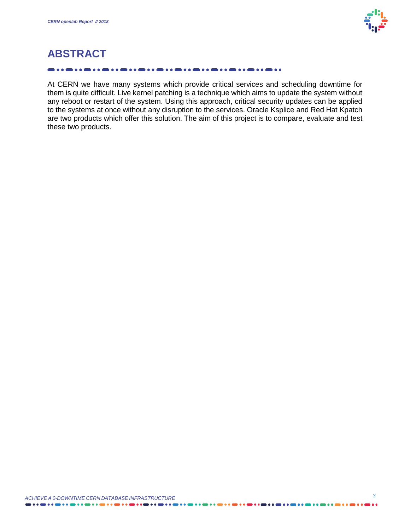

# **ABSTRACT**

At CERN we have many systems which provide critical services and scheduling downtime for them is quite difficult. Live kernel patching is a technique which aims to update the system without any reboot or restart of the system. Using this approach, critical security updates can be applied to the systems at once without any disruption to the services. Oracle Ksplice and Red Hat Kpatch are two products which offer this solution. The aim of this project is to compare, evaluate and test these two products.

. . . . . .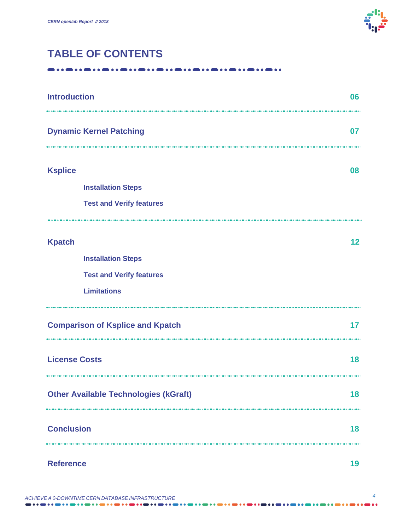

# **TABLE OF CONTENTS**

-----------------------------------

| <b>Introduction</b><br>.                     | 06 |  |
|----------------------------------------------|----|--|
| <b>Dynamic Kernel Patching</b>               | 07 |  |
| <b>Ksplice</b>                               | 08 |  |
| <b>Installation Steps</b>                    |    |  |
| <b>Test and Verify features</b>              |    |  |
|                                              |    |  |
| <b>Kpatch</b>                                | 12 |  |
| <b>Installation Steps</b>                    |    |  |
| <b>Test and Verify features</b>              |    |  |
| <b>Limitations</b>                           |    |  |
| <b>Comparison of Ksplice and Kpatch</b>      | 17 |  |
| <b>License Costs</b>                         |    |  |
| <b>Other Available Technologies (kGraft)</b> |    |  |
| <b>Conclusion</b>                            |    |  |
| <b>Reference</b>                             |    |  |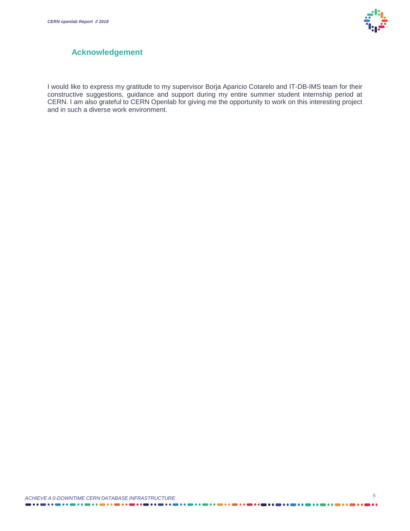

#### **Acknowledgement**

I would like to express my gratitude to my supervisor Borja Aparicio Cotarelo and IT-DB-IMS team for their constructive suggestions, guidance and support during my entire summer student internship period at CERN. I am also grateful to CERN Openlab for giving me the opportunity to work on this interesting project and in such a diverse work environment.

. . . . . . . . . . . . . . . . . .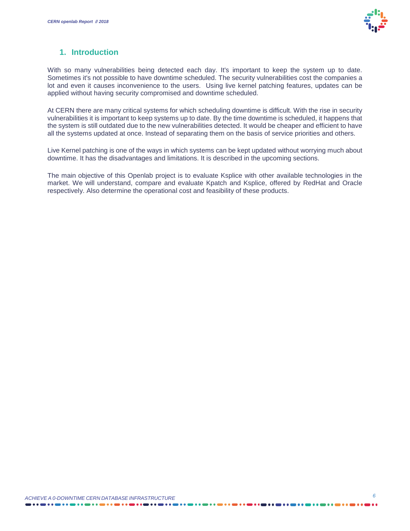

#### **1. Introduction**

With so many vulnerabilities being detected each day. It's important to keep the system up to date. Sometimes it's not possible to have downtime scheduled. The security vulnerabilities cost the companies a lot and even it causes inconvenience to the users. Using live kernel patching features, updates can be applied without having security compromised and downtime scheduled.

At CERN there are many critical systems for which scheduling downtime is difficult. With the rise in security vulnerabilities it is important to keep systems up to date. By the time downtime is scheduled, it happens that the system is still outdated due to the new vulnerabilities detected. It would be cheaper and efficient to have all the systems updated at once. Instead of separating them on the basis of service priorities and others.

Live Kernel patching is one of the ways in which systems can be kept updated without worrying much about downtime. It has the disadvantages and limitations. It is described in the upcoming sections.

The main objective of this Openlab project is to evaluate Ksplice with other available technologies in the market. We will understand, compare and evaluate Kpatch and Ksplice, offered by RedHat and Oracle respectively. Also determine the operational cost and feasibility of these products.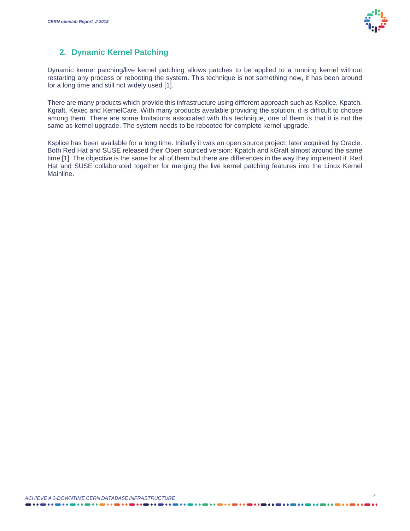

### **2. Dynamic Kernel Patching**

Dynamic kernel patching/live kernel patching allows patches to be applied to a running kernel without restarting any process or rebooting the system. This technique is not something new, it has been around for a long time and still not widely used [1].

There are many products which provide this infrastructure using different approach such as Ksplice, Kpatch, Kgraft, Kexec and KernelCare. With many products available providing the solution, it is difficult to choose among them. There are some limitations associated with this technique, one of them is that it is not the same as kernel upgrade. The system needs to be rebooted for complete kernel upgrade.

Ksplice has been available for a long time. Initially it was an open source project, later acquired by Oracle. Both Red Hat and SUSE released their Open sourced version: Kpatch and kGraft almost around the same time [1]. The objective is the same for all of them but there are differences in the way they implement it. Red Hat and SUSE collaborated together for merging the live kernel patching features into the Linux Kernel Mainline.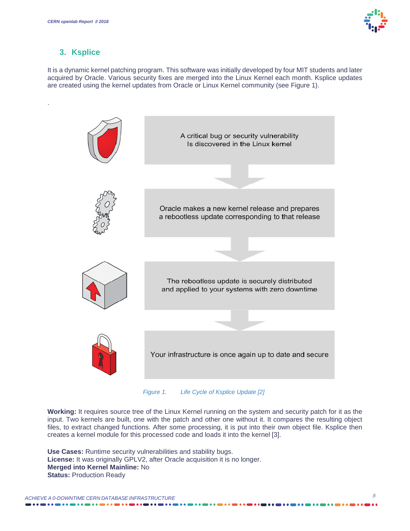

#### **3. Ksplice**

.

It is a dynamic kernel patching program. This software was initially developed by four MIT students and later acquired by Oracle. Various security fixes are merged into the Linux Kernel each month. Ksplice updates are created using the kernel updates from Oracle or Linux Kernel community (see Figure 1).



*Figure 1. Life Cycle of Ksplice Update [2]*

**Working:** It requires source tree of the Linux Kernel running on the system and security patch for it as the input. Two kernels are built, one with the patch and other one without it. It compares the resulting object files, to extract changed functions. After some processing, it is put into their own object file. Ksplice then creates a kernel module for this processed code and loads it into the kernel [3].

**Use Cases:** Runtime security vulnerabilities and stability bugs. **License:** It was originally GPLV2, after Oracle acquisition it is no longer. **Merged into Kernel Mainline:** No **Status:** Production Ready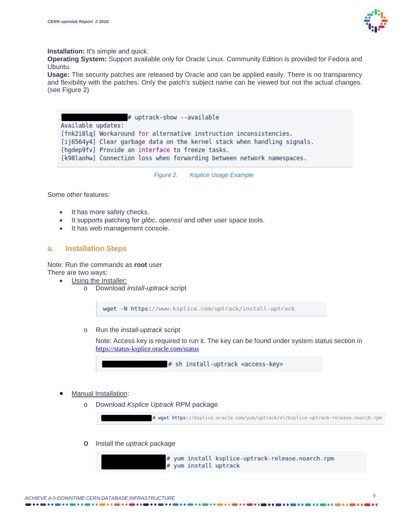

**Installation:** It's simple and quick.

**Operating System:** Support available only for Oracle Linux. Community Edition is provided for Fedora and Ubuntu.

**Usage:** The security patches are released by Oracle and can be applied easily. There is no transparency and flexibility with the patches. Only the patch's subject name can be viewed but not the actual changes. (see Figure 2)

# uptrack-show --available Available updates: [fnk2i8lq] Workaround for alternative instruction inconsistencies. [ij6564y4] Clear garbage data on the kernel stack when handling signals. [hgdep9fv] Provide an interface to freeze tasks. [k98laohw] Connection loss when forwarding between network namespaces.

*Figure 2. Ksplice Usage Example*

Some other features:

- It has more safety checks.
- · It supports patching for *glibc*, *openssl* and other user space tools.
- · It has web management console.

#### **a. Installation Steps**

Note: Run the commands as **root** user There are two ways:

Using the Installer:

o Download *install-uptrack* script

wget -N https://www.ksplice.com/uptrack/install-uptrack

o Run the *install-uptrack* script

Note: Access key is required to run it. The key can be found under system status section in https://status-ksplice.oracle.com/status



- Manual Installation:
	- o Download *Ksplice Uptrack* RPM package

# wget https://ksplice.oracle.com/yum/uptrack/ol/ksplice-uptrack-release.noarch.rpm

o Install the *uptrack* package

# yum install ksplice-uptrack-release.noarch.rpm # yum install uptrack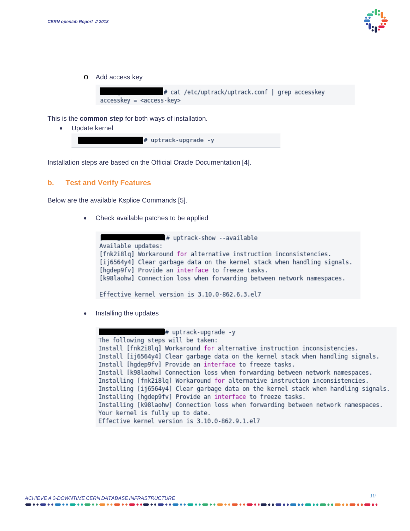

o Add access key

# cat /etc/uptrack/uptrack.conf | grep accesskey  $accesskey = key>$ 

This is the **common step** for both ways of installation.

· Update kernel

# uptrack-upgrade -v

Installation steps are based on the Official Oracle Documentation [4].

#### **b. Test and Verify Features**

Below are the available Ksplice Commands [5].

Check available patches to be applied

```
# uptrack-show --available
Available updates:
[fnk2i8lq] Workaround for alternative instruction inconsistencies.
[ij6564y4] Clear garbage data on the kernel stack when handling signals.
[hgdep9fv] Provide an interface to freeze tasks.
[k98laohw] Connection loss when forwarding between network namespaces.
Effective kernel version is 3.10.0-862.6.3.el7
```
Installing the updates

```
# uptrack-upgrade -y
The following steps will be taken:
Install [fnk2i8lq] Workaround for alternative instruction inconsistencies.
Install [ij6564y4] Clear garbage data on the kernel stack when handling signals.
Install [hqdep9fv] Provide an interface to freeze tasks.
Install [k98laohw] Connection loss when forwarding between network namespaces.
Installing [fnk2i8lq] Workaround for alternative instruction inconsistencies.
Installing [ij6564y4] Clear garbage data on the kernel stack when handling signals.
Installing [hqdep9fv] Provide an interface to freeze tasks.
Installing [k98laohw] Connection loss when forwarding between network namespaces.
Your kernel is fully up to date.
Effective kernel version is 3.10.0-862.9.1.el7
```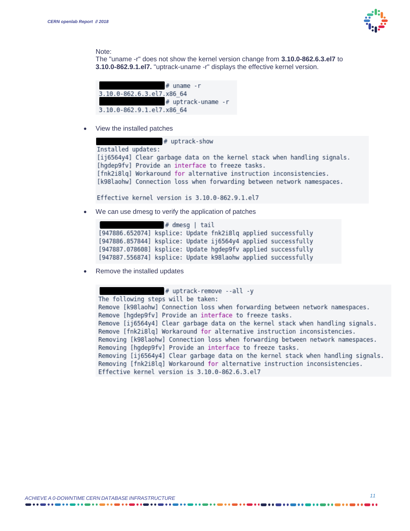

Note:

The "uname -r" does not show the kernel version change from **3.10.0-862.6.3.el7** to **3.10.0-862.9.1.el7.** "uptrack-uname -r" displays the effective kernel version.



View the installed patches

# uptrack-show Installed updates:

[ij6564y4] Clear garbage data on the kernel stack when handling signals. [hgdep9fv] Provide an interface to freeze tasks. [fnk2i8lg] Workaround for alternative instruction inconsistencies. [k98laohw] Connection loss when forwarding between network namespaces.

Effective kernel version is 3.10.0-862.9.1.el7

We can use dmesg to verify the application of patches

```
# dmesq | tail
[947886.652074] ksplice: Update fnk2i8lq applied successfully
[947886.857844] ksplice: Update ij6564y4 applied successfully
[947887.078608] ksplice: Update hqdep9fv applied successfully
[947887.556874] ksplice: Update k98laohw applied successfully
```
Remove the installed updates

```
# uptrack-remove --all -y
The following steps will be taken:
Remove [k98laohw] Connection loss when forwarding between network namespaces.
Remove [hqdep9fv] Provide an interface to freeze tasks.
Remove [ij6564y4] Clear garbage data on the kernel stack when handling signals.
Remove [fnk2i8lq] Workaround for alternative instruction inconsistencies.
Removing [k98laohw] Connection loss when forwarding between network namespaces.
Removing [hgdep9fv] Provide an interface to freeze tasks.
Removing [ij6564y4] Clear garbage data on the kernel stack when handling signals.
Removing [fnk2i8lq] Workaround for alternative instruction inconsistencies.
Effective kernel version is 3.10.0-862.6.3.el7
```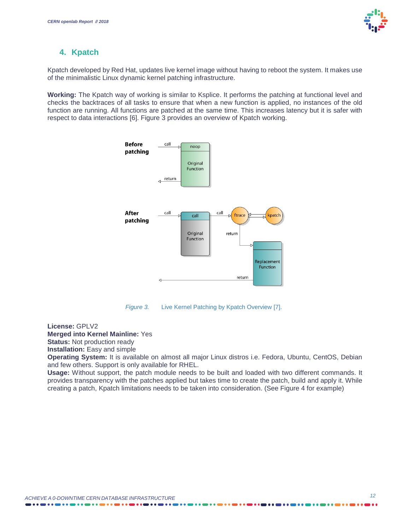### **4. Kpatch**

Kpatch developed by Red Hat, updates live kernel image without having to reboot the system. It makes use of the minimalistic Linux dynamic kernel patching infrastructure.

**Working:** The Kpatch way of working is similar to Ksplice. It performs the patching at functional level and checks the backtraces of all tasks to ensure that when a new function is applied, no instances of the old function are running. All functions are patched at the same time. This increases latency but it is safer with respect to data interactions [6]. Figure 3 provides an overview of Kpatch working.



*Figure 3.* Live Kernel Patching by Kpatch Overview [7].

**License:** GPLV2

**Merged into Kernel Mainline:** Yes

**Status: Not production ready** 

**Installation:** Easy and simple

**Operating System:** It is available on almost all major Linux distros i.e. Fedora, Ubuntu, CentOS, Debian and few others. Support is only available for RHEL.

**Usage:** Without support, the patch module needs to be built and loaded with two different commands. It provides transparency with the patches applied but takes time to create the patch, build and apply it. While creating a patch, Kpatch limitations needs to be taken into consideration. (See Figure 4 for example)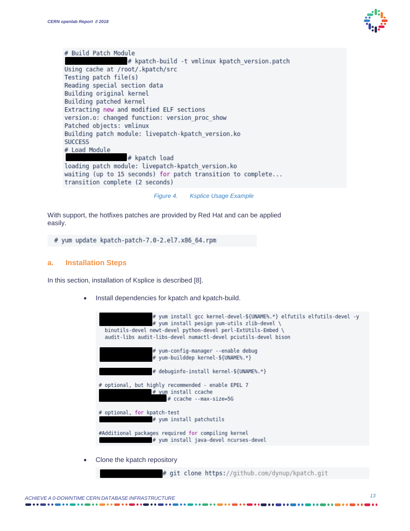

# Build Patch Module # kpatch-build -t vmlinux kpatch version.patch Using cache at /root/.kpatch/src Testing patch file(s) Reading special section data Building original kernel Building patched kernel Extracting new and modified ELF sections version.o: changed function: version\_proc\_show Patched objects: vmlinux Building patch module: livepatch-kpatch version.ko **SUCCESS** # Load Module # kpatch load loading patch module: livepatch-kpatch version.ko waiting (up to 15 seconds) for patch transition to complete... transition complete (2 seconds)

*Figure 4. Ksplice Usage Example*

With support, the hotfixes patches are provided by Red Hat and can be applied easily.

# yum update kpatch-patch-7.0-2.el7.x86 64.rpm

#### **a. Installation Steps**

In this section, installation of Ksplice is described [8].

· Install dependencies for kpatch and kpatch-build.

| # yum install gcc kernel-devel-\${UNAME%.*} elfutils elfutils-devel -y<br># yum install pesign yum-utils zlib-devel \<br>binutils-devel newt-devel python-devel perl-ExtUtils-Embed \<br>audit-libs audit-libs-devel numactl-devel pciutils-devel bison |
|---------------------------------------------------------------------------------------------------------------------------------------------------------------------------------------------------------------------------------------------------------|
| # yum-config-manager --enable debug<br># yum-builddep kernel-\${UNAME%.*}                                                                                                                                                                               |
| # debuginfo-install kernel-\${UNAME%.*}                                                                                                                                                                                                                 |
| # optional, but highly recommended - enable EPEL 7<br> # yum install ccache<br># ccache --max-size=5G                                                                                                                                                   |
| # optional, for kpatch-test<br># yum install patchutils                                                                                                                                                                                                 |
| #Additional packages required for compiling kernel<br># yum install java-devel ncurses-devel                                                                                                                                                            |
| All and the later and the contract of the con-                                                                                                                                                                                                          |

Clone the kpatch repository

# git clone https://github.com/dynup/kpatch.git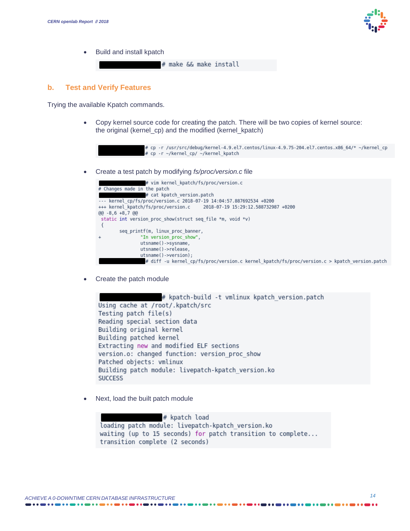

· Build and install kpatch

# make && make install

#### **b. Test and Verify Features**

Trying the available Kpatch commands.

· Copy kernel source code for creating the patch. There will be two copies of kernel source: the original (kernel\_cp) and the modified (kernel\_kpatch)



· Create a test patch by modifying *fs/proc/version.c* file

| # vim kernel kpatch/fs/proc/version.c                                                        |  |  |  |
|----------------------------------------------------------------------------------------------|--|--|--|
| # Changes made in the patch                                                                  |  |  |  |
| # cat kpatch version.patch                                                                   |  |  |  |
| --- kernel cp/fs/proc/version.c 2018-07-19 14:04:57.887692534 +0200                          |  |  |  |
| +++ kernel kpatch/fs/proc/version.c<br>2018-07-19 15:29:12.588732987 +0200                   |  |  |  |
| $@@-8.6+8.7@@$                                                                               |  |  |  |
| static int version proc show(struct seq file *m, void *v)                                    |  |  |  |
|                                                                                              |  |  |  |
| seq printf(m, linux proc banner,                                                             |  |  |  |
| "In version proc show",<br>$^{+}$                                                            |  |  |  |
| utsname()->sysname,                                                                          |  |  |  |
| utsname()->release,                                                                          |  |  |  |
| utsname()->version);                                                                         |  |  |  |
| # diff -u kernel cp/fs/proc/version.c kernel kpatch/fs/proc/version.c > kpatch version.patch |  |  |  |

· Create the patch module

# kpatch-build -t vmlinux kpatch version.patch Using cache at /root/.kpatch/src Testing patch file(s) Reading special section data Building original kernel Building patched kernel Extracting new and modified ELF sections version.o: changed function: version\_proc\_show Patched objects: vmlinux Building patch module: livepatch-kpatch\_version.ko **SUCCESS** 

Next, load the built patch module

# kpatch load loading patch module: livepatch-kpatch version.ko waiting (up to 15 seconds) for patch transition to complete... transition complete (2 seconds)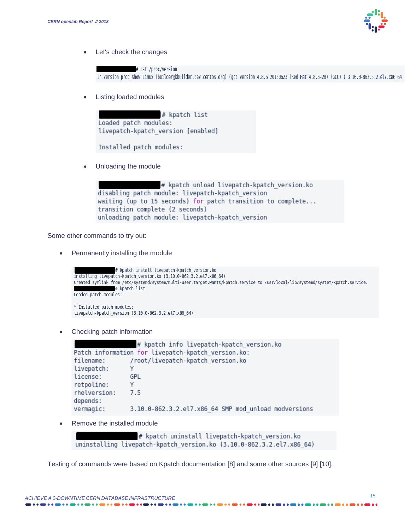

· Let's check the changes

# cat /proc/version In version proc\_show Linux (builder@kbuilder.dev.centos.org) (gcc version 4.8.5 20150623 (Red Hat 4.8.5-28) (GCC) ) 3.10.0-862.3.2.el7.x86 64

Listing loaded modules



```
Installed patch modules:
```
Unloading the module

# kpatch unload livepatch-kpatch version.ko disabling patch module: livepatch-kpatch\_version waiting (up to 15 seconds) for patch transition to complete... transition complete (2 seconds) unloading patch module: livepatch-kpatch\_version

Some other commands to try out:

Permanently installing the module

```
# kpatch install livepatch-kpatch version.ko
installing livepatch-kpatch version.ko (3.10.0-862.3.2.el7.x86 64)
Created symlink from /etc/systemd/system/multi-user.target.wants/kpatch.service to /usr/local/lib/systemd/system/kpatch.service.
                 # kpatch list
Loaded patch modules:
* Installed patch modules:
```

```
livepatch-kpatch_version (3.10.0-862.3.2.el7.x86_64)
```
Checking patch information

# kpatch info livepatch-kpatch version.ko Patch information for livepatch-kpatch version.ko: /root/livepatch-kpatch version.ko filename: livepatch: Y license: GPL retpoline: Y  $7.5$ rhelversion: depends: vermagic: 3.10.0-862.3.2.el7.x86 64 SMP mod unload modversions

Remove the installed module

# kpatch uninstall livepatch-kpatch version.ko uninstalling livepatch-kpatch version.ko (3.10.0-862.3.2.el7.x86 64)

Testing of commands were based on Kpatch documentation [8] and some other sources [9] [10].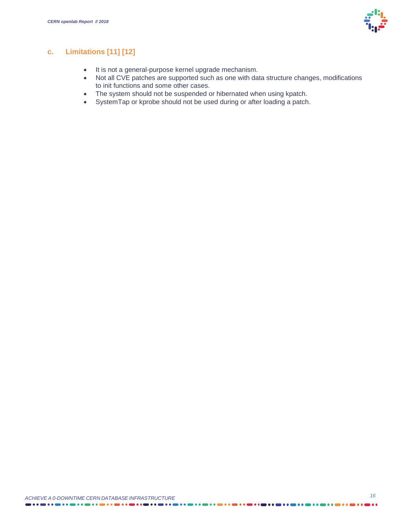

#### **c. Limitations [11] [12]**

- · It is not a general-purpose kernel upgrade mechanism.
- · Not all CVE patches are supported such as one with data structure changes, modifications to init functions and some other cases.
- · The system should not be suspended or hibernated when using kpatch.
- · SystemTap or kprobe should not be used during or after loading a patch.

ь.

 $\bullet \bullet \bullet \bullet \bullet \bullet$ 

. . . . . . . . . . . . . . . . . .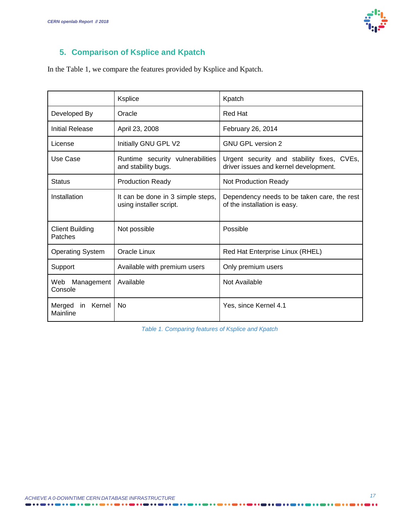

# **5. Comparison of Ksplice and Kpatch**

In the Table 1, we compare the features provided by Ksplice and Kpatch.

|                                    | Ksplice                                                      | Kpatch                                                                              |
|------------------------------------|--------------------------------------------------------------|-------------------------------------------------------------------------------------|
| Developed By                       | Oracle                                                       | Red Hat                                                                             |
| Initial Release                    | April 23, 2008                                               | February 26, 2014                                                                   |
| License                            | Initially GNU GPL V2                                         | <b>GNU GPL version 2</b>                                                            |
| Use Case                           | Runtime security vulnerabilities<br>and stability bugs.      | Urgent security and stability fixes, CVEs,<br>driver issues and kernel development. |
| <b>Status</b>                      | <b>Production Ready</b>                                      | Not Production Ready                                                                |
| Installation                       | It can be done in 3 simple steps,<br>using installer script. | Dependency needs to be taken care, the rest<br>of the installation is easy.         |
| <b>Client Building</b><br>Patches  | Not possible                                                 | Possible                                                                            |
| <b>Operating System</b>            | Oracle Linux                                                 | Red Hat Enterprise Linux (RHEL)                                                     |
| Support                            | Available with premium users                                 | Only premium users                                                                  |
| Web Management<br>Console          | Available                                                    | Not Available                                                                       |
| Kernel<br>Merged<br>in<br>Mainline | No                                                           | Yes, since Kernel 4.1                                                               |

*Table 1. Comparing features of Ksplice and Kpatch*

. . . . . . .

. . . . . . . . . . . . . . . . . .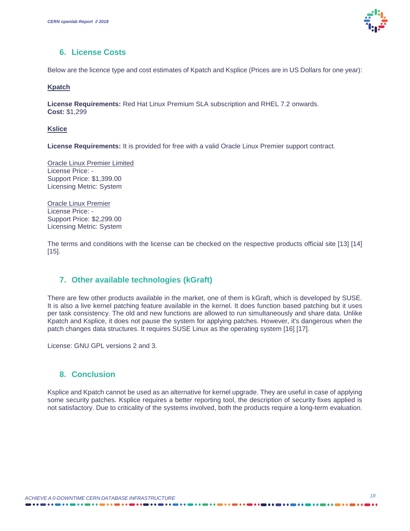

#### **6. License Costs**

Below are the licence type and cost estimates of Kpatch and Ksplice (Prices are in US Dollars for one year):

#### **Kpatch**

**License Requirements:** Red Hat Linux Premium SLA subscription and RHEL 7.2 onwards. **Cost:** \$1,299

#### **Kslice**

**License Requirements:** It is provided for free with a valid Oracle Linux Premier support contract.

Oracle Linux Premier Limited License Price: - Support Price: \$1,399.00 Licensing Metric: System

Oracle Linux Premier License Price: - Support Price: \$2,299.00 Licensing Metric: System

The terms and conditions with the license can be checked on the respective products official site [13] [14]  $[15]$ .

#### **7. Other available technologies (kGraft)**

There are few other products available in the market, one of them is kGraft, which is developed by SUSE. It is also a live kernel patching feature available in the kernel. It does function based patching but it uses per task consistency. The old and new functions are allowed to run simultaneously and share data. Unlike Kpatch and Ksplice, it does not pause the system for applying patches. However, it's dangerous when the patch changes data structures. It requires SUSE Linux as the operating system [16] [17].

License: GNU GPL versions 2 and 3.

#### **8. Conclusion**

Ksplice and Kpatch cannot be used as an alternative for kernel upgrade. They are useful in case of applying some security patches. Ksplice requires a better reporting tool, the description of security fixes applied is not satisfactory. Due to criticality of the systems involved, both the products require a long-term evaluation.